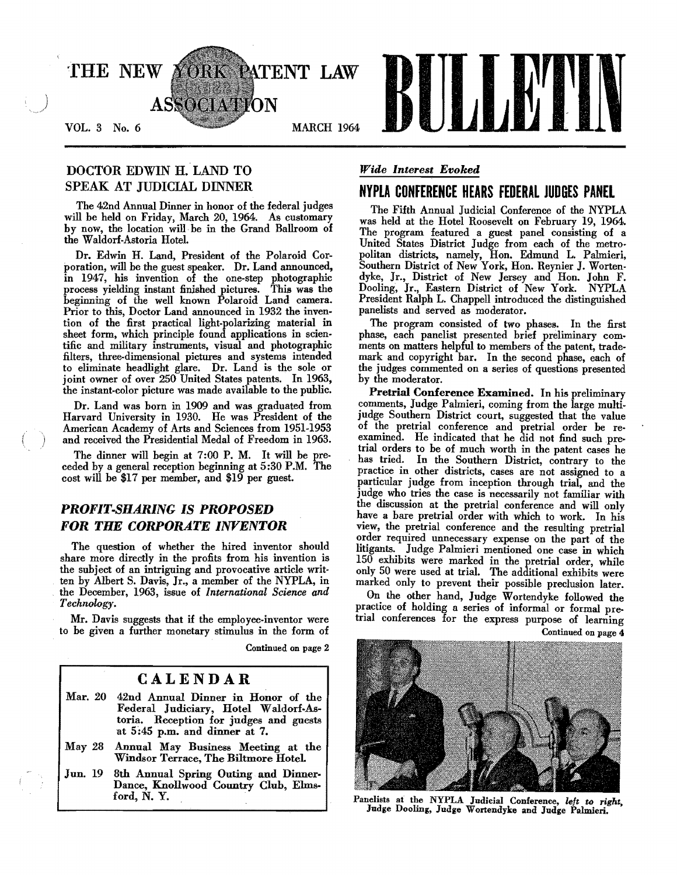

# DOCTOR EDWIN H. LAND TO SPEAK AT JUDICIAL DINNER

The 42nd Annual Dinner in honor of the federal judges will be held on Friday, March 20, 1964. As customary by now, the location will be in the Grand Ballroom of the Waldorf-Astoria Hotel

Dr. Edwin H. Land, President of the Polaroid Corporation, will be the guest speaker. Dr. Land announced, in 1947, his invention of the one-step photographic process yielding instant finished pictures. This was the beginning of the well known Polaroid Land camera. Prior to this, Doctor Land announced in 1932 the invention of the first practical light-polarizing material in sheet form, which principle found applications in scientific and military instruments, visual and photographic filters, three-dimensional pictures and systems intended to eliminate headlight glare. Dr. Land is the sole or joint owner of over 250 United States patents. In 1963, the instant-color picture was made available to the public.

Dr. Land was born in 1909 and was graduated from Harvard University in 1930. He was President of the American Academy of Arts and Sciences from 1951.1953 and received the Presidential Medal of Freedom in 1963.

The dinner will begin at 7:00 P. M. It will be preceded by a general reception beginning at 5:30 P.M. The cost will be \$17 per member, and \$19 per guest.

# *PROFIT-SHARING IS PROPOSED FOR THE CORPORATE INVENTOR*

The question of whether the hired inventor should share more directly in the profits from his invention is the subject of an intriguing and provocative article writ· ten by Albert S. Davis, Jr., a member of the NYPLA, in the December, 1963, issue of *International Science and Technology.* 

Mr. Davis suggests that if the employee-inventor were to be given a further monetary stimulus in the form of

Continued on page 2

# CALENDAR

- Mar. 20 42nd Annual Dinner in Honor of the Federal Judiciary, Hotel Waldorf-Astoria. Reception for judges and guests at 5:45 p.m. and dinner at 7.
- May 28 Annual May Business Meeting at the Windsor Terrace, The Biltmore Hotel
- Jun. 19 8th Annual Spring Outing and Dinner-Dance, Knollwood Country Club, Elmsford, N. Y.

### *Wide Interest Evoked*

# **NYPLA CONFERENCE HEARS FEDERAL JUDGES PANEL**

The Fifth Annual Judicial Conference of the NYPLA was held at the Hotel Roosevelt on February 19, 1964. The program featured a guest panel consisting of a United States District Judge from each of the metropolitan districts, namely, Hon. Edmund L. Palmieri, Southern District of New York, Hon. Reynier J. Wortendyke, Jr., District of New Jersey and Hon. John F. Dooling, Jr., Eastern District of New York. NYPLA President Ralph L. Chappell introduced the distinguished panelists and served as moderator.

The program consisted of two phases. In the first phase, each panelist presented brief preliminary comments on matters helpful to members of the patent, trademark and copyright bar. In the second phase, each of the judges commented on a series of questions presented by the moderator.

Pretrial Conference Examined. In his preliminary comments, Judge Palmieri, coming from the large multijudge Southern District court, suggested that the value of the pretrial conference and pretrial order be reexamined. He indicated that he did not find such pretrial orders to be of much worth in the patent cases he has tried. In the Southern District, contrary to the practice in other districts, cases are not assigned to a particular judge from inception through trial, and the judge who tries the case is necessarily not familiar with the discussion at the pretrial conference and will only have a bare pretrial order with which to work. In his view, the pretrial conference and the resulting pretrial order required unnecessary expense on the part of the litigants. Judge Palmieri mentioned one case in which 150 exhibits were marked in the pretrial order, while only 50 were used at trial. The additional exhibits were marked only to prevent their possible preclusion later.

On the other hand, Judge Wortendyke followed the practice of holding a series of informal or formal pretrial conferences for the express purpose of learning Continued on page 4



Panelists at the NYPLA Judicial Conference, left to right, Judge Dooling, Judge W ortendyke and Judge Palmieri. •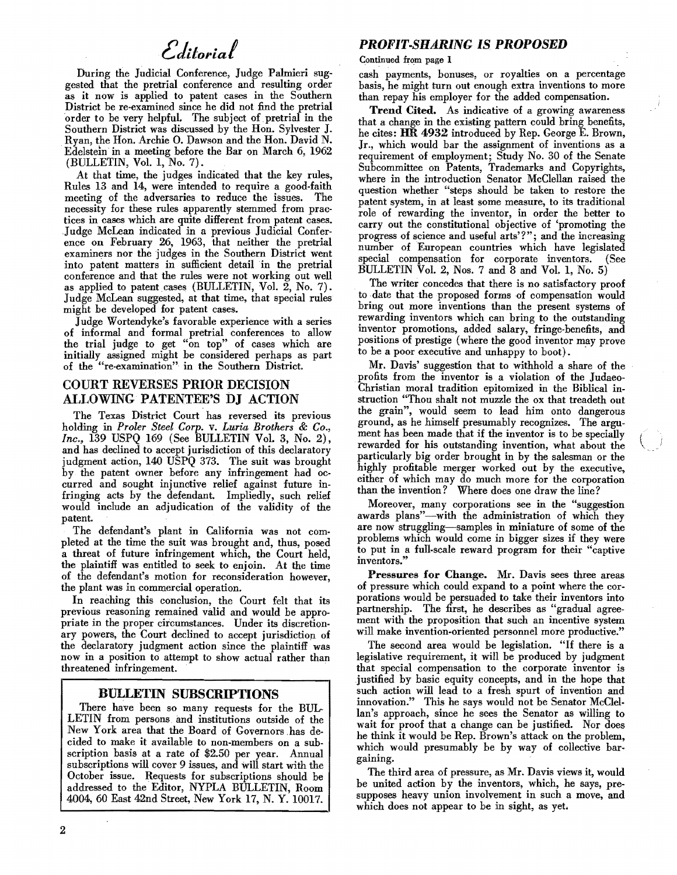# Editorial

During the Judicial Conference, Judge Palmieri suggested that the pretrial conference and resulting order as it now is applied to patent cases in the Southern District be re-examined since he did not find the pretrial order to be very helpful. The subject of pretrial in the Southern District was discussed by the Hon. Sylvester J. Ryan, the Hon. Archie O. Dawson and the Hon. David N. Edelstein in a meeting before the Bar on March 6, 1962 (BULLETIN, Vol. 1, No.7).

At that time, the judges indicated that the key rules, Rules 13 and 14, were intended to require a good-faith meeting of the adversaries to reduce the issues. The necessity for these rules apparently stemmed from practices in cases which are quite different from patent cases. .Judge McLean indicated in a previous Judicial Conference on February 26, 1963, that neither the pretrial examiners nor the judges in the Southern District went into patent matters in sufficient detail in the pretrial conference and that the rules were not working out well as applied to patent cases (BULLETIN, Vol.  $\tilde{2}$ , No. 7). Judge McLean suggested, at that time, that special rules might be developed for patent cases.

Judge Wortendyke's favorable experience with a series of informal and formal pretrial conferences to allow the trial judge to get "on top" of cases which are initially assigned might be considered perhaps as part of the "re-examination" in the Southern District.

# COURT REVERSES PRIOR DECISION ALLOWING PATENTEE'S DJ ACTION

The Texas District Court has reversed its previous holding in *Proler Steel Corp.* v. *Luria Brothers* & *Co., Inc.*, 139 USPQ 169 (See BULLETIN Vol. 3, No. 2), and has declined to accept jurisdiction of this declaratory judgment action, 140 USPQ 373. The suit was brought by the patent owner before any infringement had oc· curred and sought injunctive relief against future infringing acts by the defendant. Impliedly, such relief would include an adjudication of the validity of the patent.

The defendant's plant in California was not completed at the time the suit was brought and, thus, posed a threat of future infringement which, the Court held, the plaintiff was entitled to seek to enjoin. At the time of the defendant's motion for reconsideration however the plant was in commercial operation. '

In reaching this conclusion, the Court felt that its previous reasoning remained valid and would be appropriate in the proper circumstances. Under its discretionary powers, the Court declined to accept jurisdiction of the declaratory judgment action since the plaintiff was now in a position to attempt to show actual rather than threatened infringement.

# BULLETIN SUBSCRIPTIONS

There have been so many requests for the BUL-LETIN from persons and institutions outside of the New York area that the Board of Governors has decided to make it available to non-members on a subscription basis at a rate of \$2.50 per year. Annual subscriptions will cover 9 issues, and will start with the October issue. Requests for subscriptions should be addressed to the Editor, NYPLA BULLETIN, Room 4004, 60 East 42nd Street, New York 17, N. Y. 10017.

# *PROFIT·SHARING IS PROPOSED*

### Continued from page 1

cash payments, bonuses, or royalties on a percentage basis, he might turn out enough extra inventions to more than repay his employer for the added compensation.

Trend Cited. As indicative of a growing awareness that a change in the existing pattern could bring benefits he cites: HR 4932 introduced by Rep. George E. Brown, Jr., which would bar the assignment of inventions as a requirement of employment; Study No. 30 of the Senate Subcommittee on Patents, Trademarks and Copyrights, where in the introduction Senator McClellan raised the question whether "steps should be taken to restore the patent system, in at least some measure, to its traditional role of rewarding the inventor, in order the better to carry out the constitutional objective of 'promoting the progress of science and useful arts'?"; and the increasing number of European countries which have legislated special compensation for corporate inventors. (See BULLETIN Vol. 2, Nos. 7 and  $\delta$  and Vol. 1, No. 5)

The writer concedes that there is no satisfactory proof to date that the proposed forms of compensation would bring out more inventions than the present systems of rewarding inventors which can bring to the outstanding inventor promotions, added salary, fringe-benefits, and positions of prestige (where the good inventor may prove to be a poor executive and unhappy to boot). .

Mr. Davis' suggestion that to withhold a share of the profits from the inventor is a violation of the Judaeo· Christian moral tradition epitomized in the Biblical instruction "Thou shalt not muzzle the ox that treadeth out the grain", would seem to lead him onto dangerous ground, as he himself presumably recognizes. The argu· ment has been made that if the inventor is to be specially rewarded for his outstanding invention, what about the particularly big order brought in by the salesman or the highly profitable merger worked out by the executive, either of which may do much more for the corporation than the invention? Where does one draw the line?

Moreover, many corporations see in the "suggestion awards plans"-with the administration of which they are now struggling--samples in miniature of some of the problems which would come in bigger sizes if they were to put in a full-scale reward program for their "captive inventors."

Pressures for Change. Mr. Davis sees three areas of pressure which could expand to a point where the corporations would be persuaded to take their inventors into partnership. The first, he describes as "gradual agreement with the proposition that such an incentive system will make invention-oriented personnel more productive."

The second area would be legislation. "If there is a legislative requirement, it will be produced by judgment that special compensation to the corporate inventor is justified by basic equity concepts, and in the hope that such action will lead to a fresh spurt of invention and innovation." This he says would not be Senator McClel· lan's approach, since he sees the Senator as willing to walt for proof that a change can be justified. Nor does he think it would be Rep. Brown's attack on the problem, which would presumably be by way of collective bargaining.

The third area of pressure, as Mr. Davis views it, would be united action by the inventors, which, he says, pre· supposes heavy union involvement in such a move, and which does not appear to be in sight, as yet.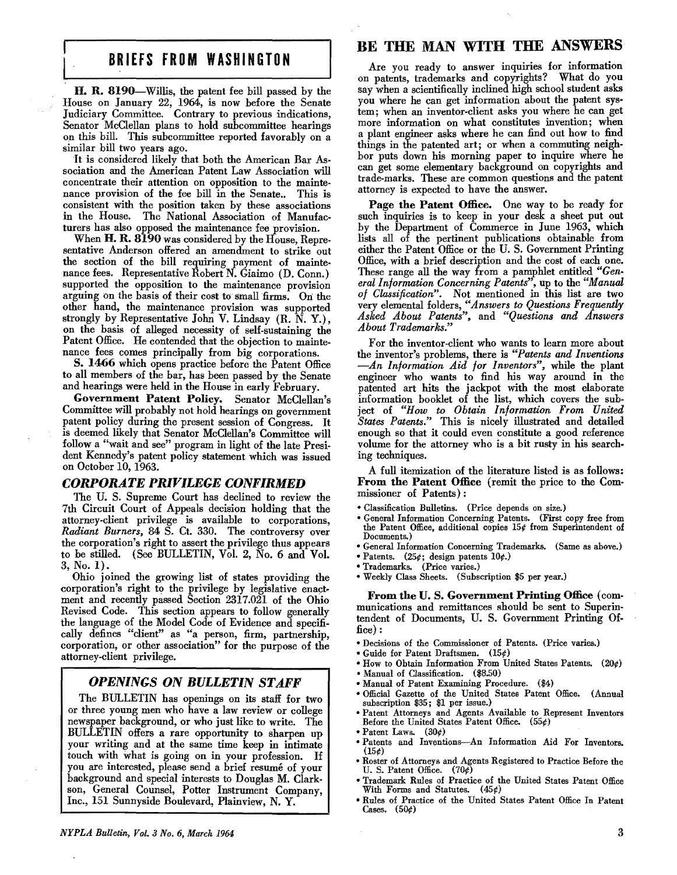# **BRIEFS FROM WASHINGTON**

H. R. 8190-Willis, the patent fee bill passed by the House on January 22, 1964, is now before the Senate Judiciary Committee. Contrary to previous indications, Senator McClellan plans to hold subcommittee hearings on this bill. This subcommittee reported favorably on a similar bill two years ago.

It is considered likely that both the American Bar As· sociation and the American Patent Law Association will concentrate their attention on position to the mainte· nance provision of the fee bill in the Senate.. This is consistent with the position taken by these associations in the House. The National Association of Manufacturers has also opposed the maintenance fee provision.

When H. R. 8190 was considered by the House, Representative Anderson offered an amendment to strike out the section of the bill requiring payment of mainte· nance fees. Representative Robert N. Giaimo (D. Conn.) supported the opposition to the maintenance provision arguing on the basis of their cost to small firms. On the other hand, the maintenance provision was supported strongly by Representative John V. Lindsay (R. N. Y.), on the basis of alleged necessity of self-sustaining the Patent Office. He contended that the objection to maintenance fees comes principally from big corporations.

S. 1466 which opens practice before the Patent Office to all members of the bar, has been passed by the Senate and hearings were held in the House in early February.

Government Patent Policy. Senator McClellan's Committee will probably not hold hearings on government patent policy during the present session of Congress. It is deemed likely that Senator McClellan's Committee will follow a "wait and see" program in light of the late President Kennedy's patent policy statement which was issued on October 10, 1963.

### *CORPORATE PRIVILEGE CONFIRMED*

The U. S. Supreme Court has declined to review the 7th Circuit Court of Appeals decision holding that the attorney-client privilege is available to corporations, *Radiant Burners,* 84 S. Ct. 330. The controversy over the corporation's right to assert the privilege thus appears to be stilled. (See BULLETIN, Vol. 2, No. 6 and Vol. 3, No.1).

Ohio joined the growing list of states providing the corporation's right to the privilege by legislative enact· ment and recently passed Section 2317.021 of the Ohio Revised Code. This section appears to follow generally the language of the Model Code of Evidence and specifically defines "client" as "a person, firm, partnership, corporation, or other association" for the purpose of the attorney -client privilege.

### *OPENINGS ON BULLETIN STAFF*

The BULLETIN has openings on its staff for two or three young men who have a law review or college newspaper background, or who just like to write. The BULLETIN offers a rare opportunity to sharpen up your writing and at the same time keep in intimate touch with what is going on in your profession. If you are interested, please send a brief resume of your background and special interests to Douglas M. Clark· son, General Counsel, Potter Instrument Company, Inc., 151 Sunnyside Boulevard, Plainview, N. Y.

# BE THE MAN WITH THE ANSWERS

Are you ready to answer inquiries for information on patents, trademarks and copyrights? What do you say when a scientifically inclined high school student asks you where he can get information about the patent system; when an inventor-client asks you where he can get more information on what constitutes invention; when a plant engineer asks where he can find out how to find things in the patented art; or when a commuting neighbor puts down his morning paper to inquire where he can get some elementary background on copyrights and trade-marks. These are common questions and the patent attorney is expected to have the answer.

Page the Patent Office. One way to be ready for such inquiries is to keep in your desk a sheet put out by the Department of Commerce in June 1963, which lists all of the pertinent publications obtainable from either the Patent Office or the U. S. Government Printing Office, with a brief description and the cost of each one. These range all the way from a pamphlet entitled *"Generallnformation Concerning Patents",* up to the *"Manual of Classifioation".* Not mentioned in this list are two very elemental folders, *"Answers to Questions Frequently Asked About Patents",* and *"Questions and Answers About Trademarks."* 

For the inventor-client who wants to learn more about the inventor's problems, there is *"Patents and Inventions -An Information Aid for Inventors",* while the plant engineer who wants to find his way around in the patented art hits the jackpot with the most elaborate information booklet of the list, which covers the sub· ject of *"How to Obtain Information From United States Patents:'* This is nicely illustrated and detailed enough so that it could even constitute a good reference volume for the attorney who is a bit rusty in his searching techniques.

A full itemization of the literature listed is as follows: From the Patent Office (remit the price to the Com· missioner of Patents):

• Classification Bulletins. (Price depends on size.)

- General Information Concerning Patents. (First copy free from the Patent Office, additional copies 15¢ from Superintendent of Documents.)
- General Information Concerning Trademarks. (Same as above.)
- Patents.  $(25¢;$  design patents  $10¢$ .)
- Trademarks. (Price varies.)
- Weekly Class Sheets. (Subscription \$5 per year.)

From the U. S. Government Printing Office (com. munications and remittances should be sent to Superintendent of Documents, U. S. Government Printing Of· fice) :

- Decisions of the Commissioner of Patents. (Price varies.)
- Guide for Patent Draftsmen.  $(15¢)$
- How to Obtain Information From United States Patents.  $(20¢)$
- Manual of Classification. (\$8.50)
- Manual of Patent Examining Procedure. (\$4)
- Official Gazette of the United States Patent Office. (Annual subscription \$35; \$1 per issue.)
- Patent Attorneys and Agents Available to Represent Inventors Before the United States Patent Office. (55¢)
- Patent Laws. (30¢)
- · Patents and Inventions-An Information Aid For Inventors.  $(15e)$
- Roster of Attorneys and Agents Registered to Practice Before the U. S. Patent Office.  $(70\phi)$
- Trademark Rules of Practice of the United States Patent Office With Forms and Statutes.  $(45¢)$
- Rules of Practice of the United States Patent Office In Patent Cases. (50¢)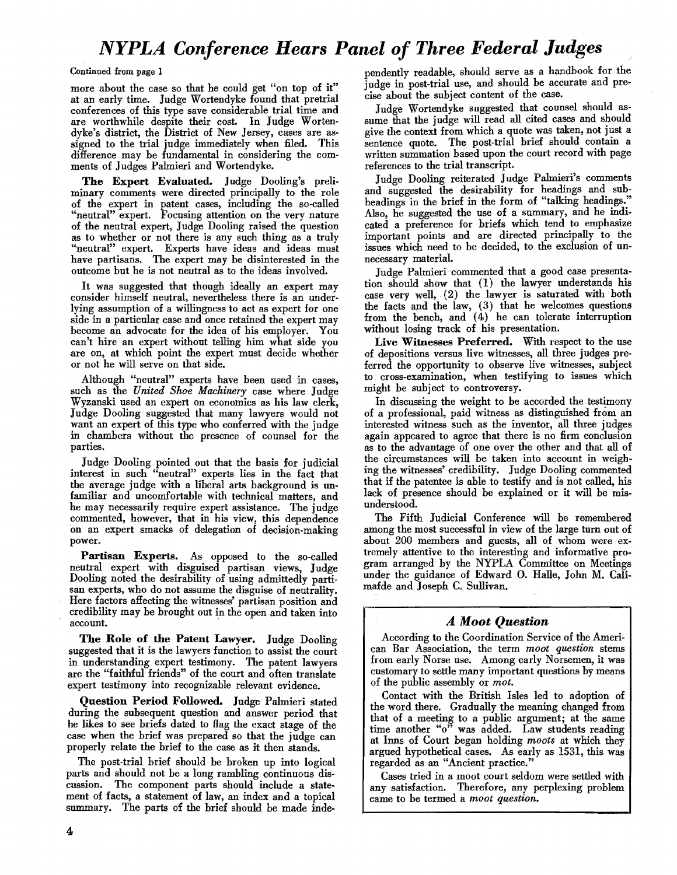# *NYPLA Conference Hears Panel of Three Federal Judges*

Continued from page 1

more about the case so that he could get "on top of it" at an early time. Judge Wortendyke found that pretrial conferences of this type save considerable trial time and are worthwhile despite their cost. In Judge Wortendyke's district, the District of New Jersey, cases are as· signed to the trial judge immediately when filed. This difference may be fundamental in considering the comments of Judges Palmieri and Wortendyke.

The Expert Evaluated. Judge Dooling's preliminary comments were directed principally to the role of the expert in patent cases, including the so-called "neutral" expert. Focusing attention on the very nature of the neutral expert, Judge Dooling raised the question as to whether or not there is any such thing as a truly "neutral" expert. Experts have ideas and ideas must have partisans. The expert may be disinterested in the outcome but he is not neutral as to the ideas involved.

It was suggested that though ideally an expert may consider himself neutral, nevertheless there is an underlying assumption of a willingness to act as expert for one side in a particular case and once retained the expert may become an advocate for the idea of his employer. You can't hire an expert without telling him what side you are on, at which point the expert must decide whether or not he will serve on that side.

Although "neutral" experts have been used in cases, such as the *United Slwe Machinery* case where Judge Wyzanski used an expert on economics as his law clerk Judge Dooling suggested that many lawyers would not want an expert of this type who conferred with the judge in chambers without the presence of counsel for the parties.

Judge Dooling pointed out that the basis for judicial interest in such "neutral" experts lies in the fact that the average judge with a liberal arts background is unfamiliar and uncomfortable with technical matters, and he may necessarily require expert assistance. The judge commented, however, that in his view, this dependence on an expert smacks of delegation of decision-making power.

Partisan Experts. As opposed to the so-called neutral expert with disgnised partisan views, Judge Dooling noted the desirability of using admittedly partisan experts, who do not assume the disguise of neutrality. Here factors affecting the witnesses' partisan position and credibility may be brought out in the open and taken into account.

The Role of the Patent Lawyer. Judge Dooling suggested that it is the lawyers function to assist the court in understanding expert testimony. The patent lawyers are the "faithful friends" of the court and often translate expert testimony into recognizable relevant evidence.

Question Period Followed. Judge Palmieri stated during the subsequent question and answer period that he likes to see briefs dated to Hag the exact stage of the case when the brief was prepared so that the judge can properly relate the brief to the case as it then stands.

The post-trial brief should be broken up into logical parts and should not be a long rambling continuous discussion. The component parts should include a statement of facts, a statement of law, an index and a topical summary. The parts of the brief should be made independently readable, should serve as a handbook for the judge in post-trial use, and should be accurate and precise about the subject content of the case.

Judge Wortendyke suggested that counsel should assume that the judge will read all cited cases and should give the context from which a quote was taken, not jnst a sentence quote. The post-trial brief should contain a written summation based upon the court record with page references to the trial transcript.

Judge Dooling reiterated Judge Palmieri's comments and suggested the desirability for headings and subheadings in the brief in the form of "talking headings." Also, he suggested the use of a summary, and he indicated a preference for briefs which tend to emphasize important points and are directed principally to the issues which need to be decided, to the exclusion of unnecessary material.

Judge Palmieri commented that a good case presentation should show that (1) the lawyer understands his case very well, (2) the lawyer is saturated with both the facts and the law, (3) that he welcomes questions from the bench, and (4) he can tolerate interruption without losing track of his presentation.

Live Witnesses Preferred. With respect to the use of depositions versus live witnesses, all three judges preferred the opportunity to observe live witnesses, subject to cross-examination, when testifying to issues which might be subject to controversy.

In discussing the weight to be accorded the testimony of a professional, paid witness as distinguished from an interested witness such as the inventor, all three judges again appeared to agree that there is no firm conclusion as to the advantage of one over the other and that all of the circumstances will be taken into account in weighing the witnesses' credibility. Judge Dooling commented that if the patentee is able to testify and is not called, his lack of presence should be explained or it will be misunderstood.

The Fifth Judicial Conference will be remembered among the most successful in view of the large turn out of about 200 members and guests, all of whom were extremely attentive to the interesting and informative program arranged by the NYPLA Committee on Meetings under the guidance of Edward O. Halle, John M. Calimafde and Joseph C. Sullivan.

### *.4* Moot *Question*

According to the Coordination Service of the American Bar Association, the term *moot question* stems from early Norse use. Among early Norsemen, it was customary to settle many important questions by means of the public assembly or *mot.* 

Contact with the British Isles led to adoption of the word there. Gradually the meaning changed from that of a meeting to a public argument; at the same time another "o" was added. Law students reading at Inns of Court began holding *moots* at which they argued hypothetical cases. As early as 1531, this was regarded as an "Ancient practice."

Cases tried in a moot court seldom were settled with any satisfaction. Therefore, any perplexing problem came to be termed a *moot question.*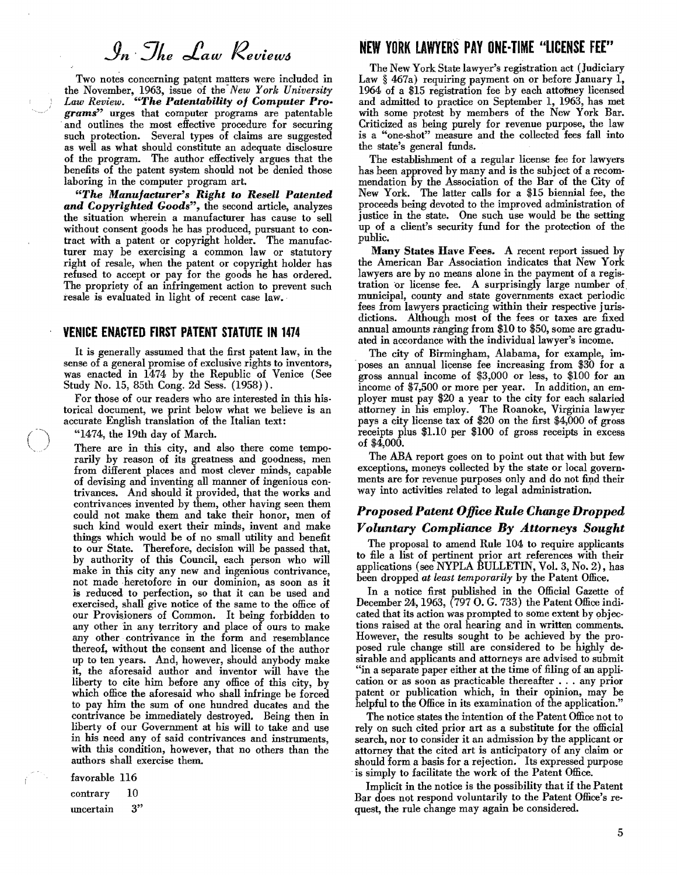# In The Law Reviews

Two notes concerning patent matters were included in the November, 1963, issue of the *New York University Law Review. "The Patentability of Computer Programs"* urges that computer programs are patentable . and outlines the most effective procedure for securing such protection. Several types of claims are snggested as well as what should constitute an adequate disclosure of the program. The author effectively argues that the benefits of the patent system should not be denied those laboring in the computer program art.

*"The Manufacturer's Right to Resell Patented and Copyrighted Goods",* the second article, analyzes the situation wherein a manufacturer has cause to sell without consent goods he has produced, pursuant to contract with a patent or copyright holder. The manufacturer may be exercising a common law or statutory right of resale, when the patent or copyright holder has refused to accept or pay for the goods he has ordered. The propriety of an infringement action to prevent such resale is evaluated in light of recent case law.

### VENICE ENACTED FIRST PATENT STATUTE IN 1414

It is generally assumed that the first patent law, in the sense of a general promise of exclusive rights to inventors, was enacted in 1474 by the Republic of Venice (See Study No. 15, 85th Cong. 2d Sess. (1958)).

For those of our readers who are interested in this his· torical document, we print below what we believe is an accurate English translation of the Italian text:

"1474, the 19th day of March.

There are in this city, and also there come temporarily by reason of its greatness and goodness, men from different places and most clever minds, capable of devising and inventing all manner of ingenious contrivances. And should it provided, that the works and contrivances invented by them, other having seen them could not make them and take their honor, men of such kind would exert their minds, invent and make things which would be of no small utility and benefit to our State. Therefore, decision will be passed that, by authority of this Council, each person who will make in this city any new and ingenious contrivance, not made heretofore in our dominion, as soon as it is reduced to perfection, so that it can be used and exercised, shall give notice of the same to the office of our Provisioners of Common. It being forbidden to any other in any territory and place of ours to make any other contrivance in the form and resemblance thereof, without the consent and license of the author up to ten years. And, however, should anybody make it, the aforesaid author and inventor will have the liberty to cite him before any office of this city, by which office the aforesaid who shall infringe be forced to pay him the sum of one hundred ducates and the contrivance be immediately destroyed. Being then in liberty of our Government at his will to take and use in his need any of said contrivances and instruments, with this condition, however, that no others than the authors shall exercise them.

| favorable 116 |  |
|---------------|--|
|---------------|--|

contrary 10

uncertain 3"

# NEW YORK LAWYERS PAY ONE·TIME "LICENSE FEE"

The New York State lawyer's registration act (Judiciary Law § 467a) requiring payment on or before January 1, 1964 of a \$15 registration fee by each attomey licensed and admitted to practice on September 1, 1963, has met with some protest by members of the New York Bar. Criticized as being purely for revenue purpose, the law is a "one-shot" measure and the collected fees fall into the state's general funds.

The establishment of a regular license fee for lawyers has been approved by many and is the subject of a recommendation by the Association of the Bar of the City of New York. The latter calls for a \$15 biennial fee, the proceeds being devoted to the improved administration of justice in the state. One such use would be the setting up of a client's security fund for the protection of the public.

Many States Have Fees. A recent report issued by the American Bar Association indicates that New York lawyers are by no means alone in the payment of a registration 'or license fee. A surprisingly large number of. municipal, county and state governments exact periodic fees from lawyers practicing within their respective juris· dictions. Although most of the fees or taxes are fixed annual amounts ranging from \$10 to \$50, some are graduated in accordance with the individual lawyer's income.

The city of Birmingham, Alabama, for example, im . poses an annual license fee increasing from \$30 for a gross annual income of \$3,000 or less, to \$100 for an income of \$7,500 or more per year. In addition, an employer must pay \$20 a year to the city for each salaried attorney in his employ. The Roanoke, Virginia lawyer pays a city license tax of \$20 on the first \$4,000 of gross receipts plus \$1.10 per \$100 of gross receipts in excess of \$4,000.

The ABA report goes on to point out that with but few exceptions, moneys collected by the state or local governments are for revenue purposes only and do not find their way into activities related to legal administration.

# *Proposed Patent Office Rule Change Dropped Voluntary Compliance By Attorneys Sought*

The proposal to amend Rule 104 to require applicants to file a list of pertinent prior art references with their applications (see NYPLA BULLETIN, Vol. 3, No.2), has been dropped *at least temporarily* by the Patent Office.

In a notice first published in the Official Gazette of December 24,1963, (797 O. G. 733) the Patent Office indicated that its action was prompted to some extent by objections raised at the oral hearing and in written comments. However, the results sought to be achieved by the proposed rule change still are considered to be highly desirable and applicants and attorneys are advised to submit "in a separate paper either at the time of filing of an application or as soon as practicable thereafter . . . any prior patent or publication which, in their opinion, may be helpful to the Office in its examination of the application."

The notice states the intention of the Patent Office not to rely on such cited prior art as a substitute for the official search, nor to consider it an admission by the applicant or attorney that the cited art is anticipatory of any claim or should form a basis for a rejection. Its expressed purpose is simply to facilitate the work of the Patent Office.

Implicit in the notice is the possibility that if the Patent Bar does not respond voluntarily to the Patent Office's request, the rule change may again be considered.